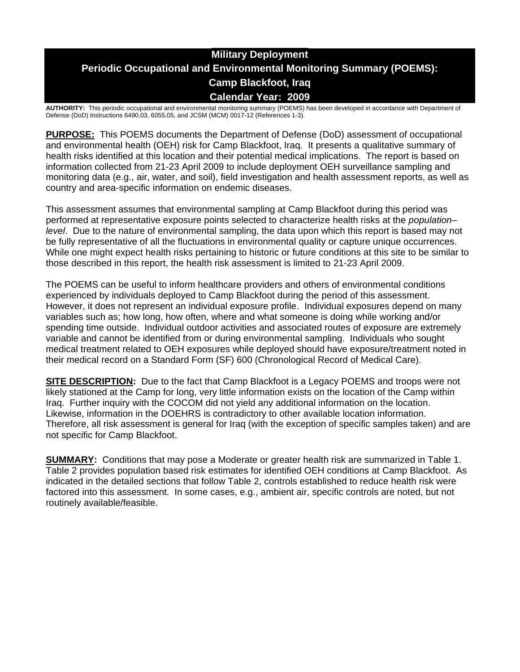# **Military Deployment Periodic Occupational and Environmental Monitoring Summary (POEMS): Camp Blackfoot, Iraq Calendar Year: 2009**

**AUTHORITY:** This periodic occupational and environmental monitoring summary (POEMS) has been developed in accordance with Department of Defense (DoD) Instructions 6490.03, 6055.05, and JCSM (MCM) 0017-12 (References 1-3).

**PURPOSE:** This POEMS documents the Department of Defense (DoD) assessment of occupational and environmental health (OEH) risk for Camp Blackfoot, Iraq. It presents a qualitative summary of health risks identified at this location and their potential medical implications. The report is based on information collected from 21-23 April 2009 to include deployment OEH surveillance sampling and monitoring data (e.g., air, water, and soil), field investigation and health assessment reports, as well as country and area-specific information on endemic diseases.

This assessment assumes that environmental sampling at Camp Blackfoot during this period was performed at representative exposure points selected to characterize health risks at the *population– level*. Due to the nature of environmental sampling, the data upon which this report is based may not be fully representative of all the fluctuations in environmental quality or capture unique occurrences. While one might expect health risks pertaining to historic or future conditions at this site to be similar to those described in this report, the health risk assessment is limited to 21-23 April 2009.

The POEMS can be useful to inform healthcare providers and others of environmental conditions experienced by individuals deployed to Camp Blackfoot during the period of this assessment. However, it does not represent an individual exposure profile. Individual exposures depend on many variables such as; how long, how often, where and what someone is doing while working and/or spending time outside. Individual outdoor activities and associated routes of exposure are extremely variable and cannot be identified from or during environmental sampling. Individuals who sought medical treatment related to OEH exposures while deployed should have exposure/treatment noted in their medical record on a Standard Form (SF) 600 (Chronological Record of Medical Care).

**SITE DESCRIPTION:** Due to the fact that Camp Blackfoot is a Legacy POEMS and troops were not likely stationed at the Camp for long, very little information exists on the location of the Camp within Iraq. Further inquiry with the COCOM did not yield any additional information on the location. Likewise, information in the DOEHRS is contradictory to other available location information. Therefore, all risk assessment is general for Iraq (with the exception of specific samples taken) and are not specific for Camp Blackfoot.

**SUMMARY:** Conditions that may pose a Moderate or greater health risk are summarized in Table 1. Table 2 provides population based risk estimates for identified OEH conditions at Camp Blackfoot. As indicated in the detailed sections that follow Table 2, controls established to reduce health risk were factored into this assessment. In some cases, e.g., ambient air, specific controls are noted, but not routinely available/feasible.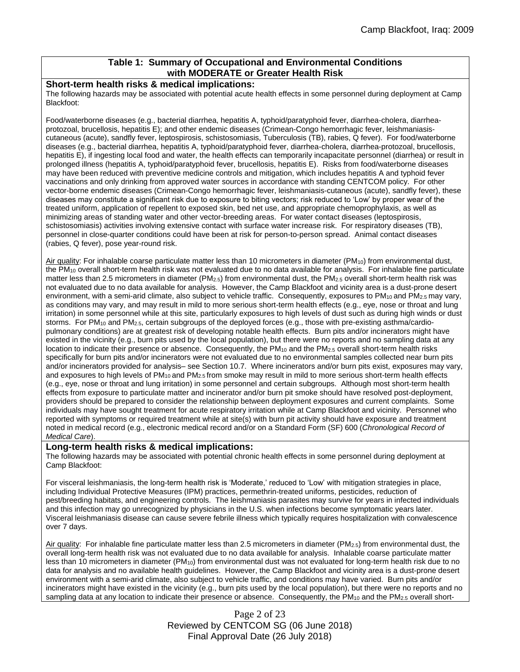# **Table 1: Summary of Occupational and Environmental Conditions with MODERATE or Greater Health Risk**

#### **Short-term health risks & medical implications:**

The following hazards may be associated with potential acute health effects in some personnel during deployment at Camp Blackfoot:

Food/waterborne diseases (e.g., bacterial diarrhea, hepatitis A, typhoid/paratyphoid fever, diarrhea-cholera, diarrheaprotozoal, brucellosis, hepatitis E); and other endemic diseases (Crimean-Congo hemorrhagic fever, leishmaniasiscutaneous (acute), sandfly fever, leptospirosis, schistosomiasis, Tuberculosis (TB), rabies, Q fever). For food/waterborne diseases (e.g., bacterial diarrhea, hepatitis A, typhoid/paratyphoid fever, diarrhea-cholera, diarrhea-protozoal, brucellosis, hepatitis E), if ingesting local food and water, the health effects can temporarily incapacitate personnel (diarrhea) or result in prolonged illness (hepatitis A, typhoid/paratyphoid fever, brucellosis, hepatitis E). Risks from food/waterborne diseases may have been reduced with preventive medicine controls and mitigation, which includes hepatitis A and typhoid fever vaccinations and only drinking from approved water sources in accordance with standing CENTCOM policy. For other vector-borne endemic diseases (Crimean-Congo hemorrhagic fever, leishmaniasis-cutaneous (acute), sandfly fever), these diseases may constitute a significant risk due to exposure to biting vectors; risk reduced to 'Low' by proper wear of the treated uniform, application of repellent to exposed skin, bed net use, and appropriate chemoprophylaxis, as well as minimizing areas of standing water and other vector-breeding areas. For water contact diseases (leptospirosis, schistosomiasis) activities involving extensive contact with surface water increase risk. For respiratory diseases (TB), personnel in close-quarter conditions could have been at risk for person-to-person spread. Animal contact diseases (rabies, Q fever), pose year-round risk.

Air quality: For inhalable coarse particulate matter less than 10 micrometers in diameter (PM<sub>10</sub>) from environmental dust, the PM<sup>10</sup> overall short-term health risk was not evaluated due to no data available for analysis. For inhalable fine particulate matter less than 2.5 micrometers in diameter ( $PM_{2.5}$ ) from environmental dust, the  $PM_{2.5}$  overall short-term health risk was not evaluated due to no data available for analysis. However, the Camp Blackfoot and vicinity area is a dust-prone desert environment, with a semi-arid climate, also subject to vehicle traffic. Consequently, exposures to  $PM_{10}$  and  $PM_{2.5}$  may vary, as conditions may vary, and may result in mild to more serious short-term health effects (e.g., eye, nose or throat and lung irritation) in some personnel while at this site, particularly exposures to high levels of dust such as during high winds or dust storms. For PM<sub>10</sub> and PM<sub>2.5</sub>, certain subgroups of the deployed forces (e.g., those with pre-existing asthma/cardiopulmonary conditions) are at greatest risk of developing notable health effects. Burn pits and/or incinerators might have existed in the vicinity (e.g., burn pits used by the local population), but there were no reports and no sampling data at any location to indicate their presence or absence. Consequently, the PM<sub>10</sub> and the PM<sub>2.5</sub> overall short-term health risks specifically for burn pits and/or incinerators were not evaluated due to no environmental samples collected near burn pits and/or incinerators provided for analysis– see Section 10.7. Where incinerators and/or burn pits exist, exposures may vary, and exposures to high levels of  $PM_{10}$  and  $PM_{2.5}$  from smoke may result in mild to more serious short-term health effects (e.g., eye, nose or throat and lung irritation) in some personnel and certain subgroups. Although most short-term health effects from exposure to particulate matter and incinerator and/or burn pit smoke should have resolved post-deployment, providers should be prepared to consider the relationship between deployment exposures and current complaints. Some individuals may have sought treatment for acute respiratory irritation while at Camp Blackfoot and vicinity. Personnel who reported with symptoms or required treatment while at site(s) with burn pit activity should have exposure and treatment noted in medical record (e.g., electronic medical record and/or on a Standard Form (SF) 600 (*Chronological Record of Medical Care*).

#### **Long-term health risks & medical implications:**

The following hazards may be associated with potential chronic health effects in some personnel during deployment at Camp Blackfoot:

For visceral leishmaniasis, the long-term health risk is 'Moderate,' reduced to 'Low' with mitigation strategies in place, including Individual Protective Measures (IPM) practices, permethrin-treated uniforms, pesticides, reduction of pest/breeding habitats, and engineering controls. The leishmaniasis parasites may survive for years in infected individuals and this infection may go unrecognized by physicians in the U.S. when infections become symptomatic years later. Visceral leishmaniasis disease can cause severe febrile illness which typically requires hospitalization with convalescence over 7 days.

Air quality: For inhalable fine particulate matter less than 2.5 micrometers in diameter ( $PM_{2.5}$ ) from environmental dust, the overall long-term health risk was not evaluated due to no data available for analysis. Inhalable coarse particulate matter less than 10 micrometers in diameter (PM10) from environmental dust was not evaluated for long-term health risk due to no data for analysis and no available health guidelines. However, the Camp Blackfoot and vicinity area is a dust-prone desert environment with a semi-arid climate, also subject to vehicle traffic, and conditions may have varied. Burn pits and/or incinerators might have existed in the vicinity (e.g., burn pits used by the local population), but there were no reports and no sampling data at any location to indicate their presence or absence. Consequently, the  $PM_{10}$  and the  $PM_{2.5}$  overall short-

> Page 2 of 23 Reviewed by CENTCOM SG (06 June 2018) Final Approval Date (26 July 2018)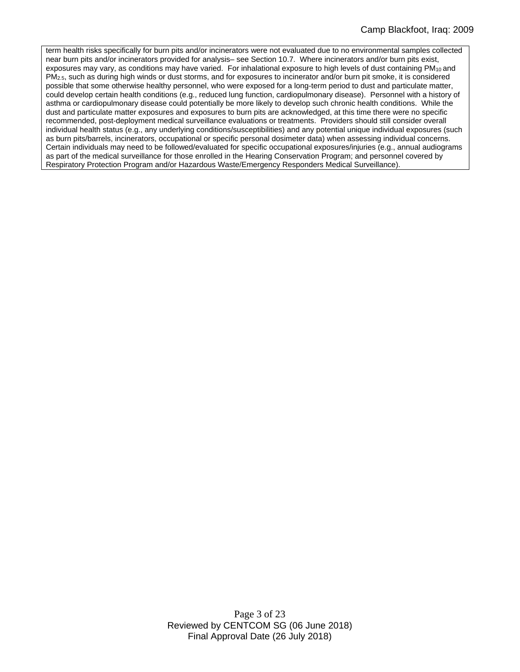term health risks specifically for burn pits and/or incinerators were not evaluated due to no environmental samples collected near burn pits and/or incinerators provided for analysis– see Section 10.7. Where incinerators and/or burn pits exist, exposures may vary, as conditions may have varied. For inhalational exposure to high levels of dust containing PM<sub>10</sub> and PM2.5, such as during high winds or dust storms, and for exposures to incinerator and/or burn pit smoke, it is considered possible that some otherwise healthy personnel, who were exposed for a long-term period to dust and particulate matter, could develop certain health conditions (e.g., reduced lung function, cardiopulmonary disease). Personnel with a history of asthma or cardiopulmonary disease could potentially be more likely to develop such chronic health conditions. While the dust and particulate matter exposures and exposures to burn pits are acknowledged, at this time there were no specific recommended, post-deployment medical surveillance evaluations or treatments. Providers should still consider overall individual health status (e.g., any underlying conditions/susceptibilities) and any potential unique individual exposures (such as burn pits/barrels, incinerators, occupational or specific personal dosimeter data) when assessing individual concerns. Certain individuals may need to be followed/evaluated for specific occupational exposures/injuries (e.g., annual audiograms as part of the medical surveillance for those enrolled in the Hearing Conservation Program; and personnel covered by Respiratory Protection Program and/or Hazardous Waste/Emergency Responders Medical Surveillance).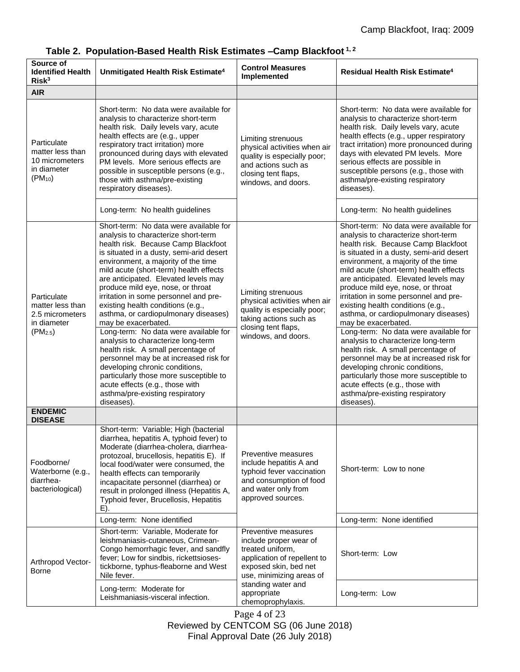| Source of<br><b>Identified Health</b><br>Risk <sup>3</sup>                                | Unmitigated Health Risk Estimate <sup>4</sup>                                                                                                                                                                                                                                                                                                                                                                                                                                                                                                                                                                                                                                                                                                                                                              | <b>Control Measures</b><br>Implemented                                                                                                                                                                          | Residual Health Risk Estimate <sup>4</sup>                                                                                                                                                                                                                                                                                                                                                                                                                                                                                                                                                                                                                                                                                                                                                                 |
|-------------------------------------------------------------------------------------------|------------------------------------------------------------------------------------------------------------------------------------------------------------------------------------------------------------------------------------------------------------------------------------------------------------------------------------------------------------------------------------------------------------------------------------------------------------------------------------------------------------------------------------------------------------------------------------------------------------------------------------------------------------------------------------------------------------------------------------------------------------------------------------------------------------|-----------------------------------------------------------------------------------------------------------------------------------------------------------------------------------------------------------------|------------------------------------------------------------------------------------------------------------------------------------------------------------------------------------------------------------------------------------------------------------------------------------------------------------------------------------------------------------------------------------------------------------------------------------------------------------------------------------------------------------------------------------------------------------------------------------------------------------------------------------------------------------------------------------------------------------------------------------------------------------------------------------------------------------|
| <b>AIR</b>                                                                                |                                                                                                                                                                                                                                                                                                                                                                                                                                                                                                                                                                                                                                                                                                                                                                                                            |                                                                                                                                                                                                                 |                                                                                                                                                                                                                                                                                                                                                                                                                                                                                                                                                                                                                                                                                                                                                                                                            |
| Particulate<br>matter less than<br>10 micrometers<br>in diameter<br>$(PM_{10})$           | Short-term: No data were available for<br>analysis to characterize short-term<br>health risk. Daily levels vary, acute<br>health effects are (e.g., upper<br>respiratory tract irritation) more<br>pronounced during days with elevated<br>PM levels. More serious effects are<br>possible in susceptible persons (e.g.,<br>those with asthma/pre-existing<br>respiratory diseases).                                                                                                                                                                                                                                                                                                                                                                                                                       | Limiting strenuous<br>physical activities when air<br>quality is especially poor;<br>and actions such as<br>closing tent flaps,<br>windows, and doors.                                                          | Short-term: No data were available for<br>analysis to characterize short-term<br>health risk. Daily levels vary, acute<br>health effects (e.g., upper respiratory<br>tract irritation) more pronounced during<br>days with elevated PM levels. More<br>serious effects are possible in<br>susceptible persons (e.g., those with<br>asthma/pre-existing respiratory<br>diseases).                                                                                                                                                                                                                                                                                                                                                                                                                           |
|                                                                                           | Long-term: No health guidelines                                                                                                                                                                                                                                                                                                                                                                                                                                                                                                                                                                                                                                                                                                                                                                            |                                                                                                                                                                                                                 | Long-term: No health guidelines                                                                                                                                                                                                                                                                                                                                                                                                                                                                                                                                                                                                                                                                                                                                                                            |
| Particulate<br>matter less than<br>2.5 micrometers<br>in diameter<br>(PM <sub>2.5</sub> ) | Short-term: No data were available for<br>analysis to characterize short-term<br>health risk. Because Camp Blackfoot<br>is situated in a dusty, semi-arid desert<br>environment, a majority of the time<br>mild acute (short-term) health effects<br>are anticipated. Elevated levels may<br>produce mild eye, nose, or throat<br>irritation in some personnel and pre-<br>existing health conditions (e.g.,<br>asthma, or cardiopulmonary diseases)<br>may be exacerbated.<br>Long-term: No data were available for<br>analysis to characterize long-term<br>health risk. A small percentage of<br>personnel may be at increased risk for<br>developing chronic conditions,<br>particularly those more susceptible to<br>acute effects (e.g., those with<br>asthma/pre-existing respiratory<br>diseases). | Limiting strenuous<br>physical activities when air<br>quality is especially poor;<br>taking actions such as<br>closing tent flaps,<br>windows, and doors.                                                       | Short-term: No data were available for<br>analysis to characterize short-term<br>health risk. Because Camp Blackfoot<br>is situated in a dusty, semi-arid desert<br>environment, a majority of the time<br>mild acute (short-term) health effects<br>are anticipated. Elevated levels may<br>produce mild eye, nose, or throat<br>irritation in some personnel and pre-<br>existing health conditions (e.g.,<br>asthma, or cardiopulmonary diseases)<br>may be exacerbated.<br>Long-term: No data were available for<br>analysis to characterize long-term<br>health risk. A small percentage of<br>personnel may be at increased risk for<br>developing chronic conditions,<br>particularly those more susceptible to<br>acute effects (e.g., those with<br>asthma/pre-existing respiratory<br>diseases). |
| <b>ENDEMIC</b>                                                                            |                                                                                                                                                                                                                                                                                                                                                                                                                                                                                                                                                                                                                                                                                                                                                                                                            |                                                                                                                                                                                                                 |                                                                                                                                                                                                                                                                                                                                                                                                                                                                                                                                                                                                                                                                                                                                                                                                            |
| <b>DISEASE</b><br>Foodborne/<br>Waterborne (e.g.,<br>diarrhea-<br>bacteriological)        | Short-term: Variable; High (bacterial<br>diarrhea, hepatitis A, typhoid fever) to<br>Moderate (diarrhea-cholera, diarrhea-<br>protozoal, brucellosis, hepatitis E). If<br>local food/water were consumed, the<br>health effects can temporarily<br>incapacitate personnel (diarrhea) or<br>result in prolonged illness (Hepatitis A,<br>Typhoid fever, Brucellosis, Hepatitis<br>E).                                                                                                                                                                                                                                                                                                                                                                                                                       | Preventive measures<br>include hepatitis A and<br>typhoid fever vaccination<br>and consumption of food<br>and water only from<br>approved sources.                                                              | Short-term: Low to none                                                                                                                                                                                                                                                                                                                                                                                                                                                                                                                                                                                                                                                                                                                                                                                    |
|                                                                                           | Long-term: None identified                                                                                                                                                                                                                                                                                                                                                                                                                                                                                                                                                                                                                                                                                                                                                                                 |                                                                                                                                                                                                                 | Long-term: None identified                                                                                                                                                                                                                                                                                                                                                                                                                                                                                                                                                                                                                                                                                                                                                                                 |
| Arthropod Vector-<br>Borne                                                                | Short-term: Variable, Moderate for<br>leishmaniasis-cutaneous, Crimean-<br>Congo hemorrhagic fever, and sandfly<br>fever; Low for sindbis, rickettsioses-<br>tickborne, typhus-fleaborne and West<br>Nile fever.                                                                                                                                                                                                                                                                                                                                                                                                                                                                                                                                                                                           | Preventive measures<br>include proper wear of<br>treated uniform,<br>application of repellent to<br>exposed skin, bed net<br>use, minimizing areas of<br>standing water and<br>appropriate<br>chemoprophylaxis. | Short-term: Low                                                                                                                                                                                                                                                                                                                                                                                                                                                                                                                                                                                                                                                                                                                                                                                            |
|                                                                                           | Long-term: Moderate for<br>Leishmaniasis-visceral infection.                                                                                                                                                                                                                                                                                                                                                                                                                                                                                                                                                                                                                                                                                                                                               |                                                                                                                                                                                                                 | Long-term: Low                                                                                                                                                                                                                                                                                                                                                                                                                                                                                                                                                                                                                                                                                                                                                                                             |

# **Table 2. Population-Based Health Risk Estimates –Camp Blackfoot 1, 2**

Page 4 of 23 Reviewed by CENTCOM SG (06 June 2018) Final Approval Date (26 July 2018)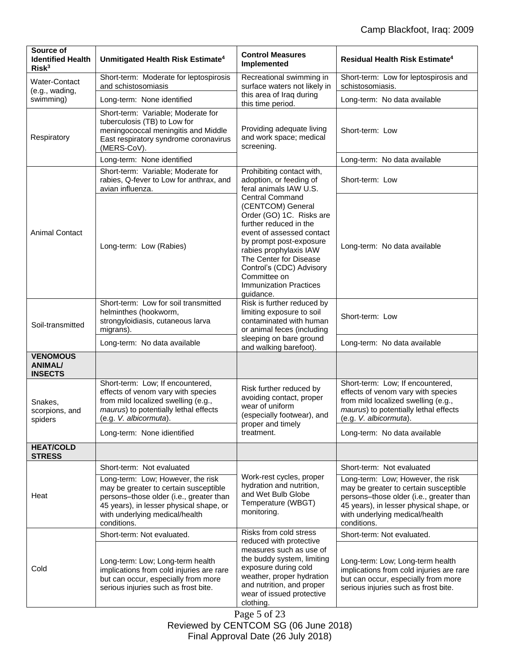| Source of<br><b>Identified Health</b><br>Risk <sup>3</sup> | Unmitigated Health Risk Estimate <sup>4</sup>                                                                                                                                                                     | <b>Control Measures</b><br>Implemented                                                                                                                                                                                                                                                                  | Residual Health Risk Estimate <sup>4</sup>                                                                                                                                                                        |
|------------------------------------------------------------|-------------------------------------------------------------------------------------------------------------------------------------------------------------------------------------------------------------------|---------------------------------------------------------------------------------------------------------------------------------------------------------------------------------------------------------------------------------------------------------------------------------------------------------|-------------------------------------------------------------------------------------------------------------------------------------------------------------------------------------------------------------------|
| <b>Water-Contact</b><br>(e.g., wading,<br>swimming)        | Short-term: Moderate for leptospirosis<br>and schistosomiasis                                                                                                                                                     | Recreational swimming in<br>surface waters not likely in<br>this area of Iraq during<br>this time period.                                                                                                                                                                                               | Short-term: Low for leptospirosis and<br>schistosomiasis.                                                                                                                                                         |
|                                                            | Long-term: None identified                                                                                                                                                                                        |                                                                                                                                                                                                                                                                                                         | Long-term: No data available                                                                                                                                                                                      |
| Respiratory                                                | Short-term: Variable; Moderate for<br>tuberculosis (TB) to Low for<br>meningococcal meningitis and Middle<br>East respiratory syndrome coronavirus<br>(MERS-CoV).                                                 | Providing adequate living<br>and work space; medical<br>screening.                                                                                                                                                                                                                                      | Short-term: Low                                                                                                                                                                                                   |
|                                                            | Long-term: None identified                                                                                                                                                                                        |                                                                                                                                                                                                                                                                                                         | Long-term: No data available                                                                                                                                                                                      |
| <b>Animal Contact</b>                                      | Short-term: Variable; Moderate for<br>rabies, Q-fever to Low for anthrax, and<br>avian influenza.                                                                                                                 | Prohibiting contact with,<br>adoption, or feeding of<br>feral animals IAW U.S.                                                                                                                                                                                                                          | Short-term: Low                                                                                                                                                                                                   |
|                                                            | Long-term: Low (Rabies)                                                                                                                                                                                           | <b>Central Command</b><br>(CENTCOM) General<br>Order (GO) 1C. Risks are<br>further reduced in the<br>event of assessed contact<br>by prompt post-exposure<br>rabies prophylaxis IAW<br>The Center for Disease<br>Control's (CDC) Advisory<br>Committee on<br><b>Immunization Practices</b><br>quidance. | Long-term: No data available                                                                                                                                                                                      |
| Soil-transmitted                                           | Short-term: Low for soil transmitted<br>helminthes (hookworm,<br>strongyloidiasis, cutaneous larva<br>migrans).                                                                                                   | Risk is further reduced by<br>limiting exposure to soil<br>contaminated with human<br>or animal feces (including<br>sleeping on bare ground<br>and walking barefoot).                                                                                                                                   | Short-term: Low                                                                                                                                                                                                   |
|                                                            | Long-term: No data available                                                                                                                                                                                      |                                                                                                                                                                                                                                                                                                         | Long-term: No data available                                                                                                                                                                                      |
| <b>VENOMOUS</b><br><b>ANIMAL/</b><br><b>INSECTS</b>        |                                                                                                                                                                                                                   |                                                                                                                                                                                                                                                                                                         |                                                                                                                                                                                                                   |
| Snakes,<br>scorpions, and<br>spiders                       | Short-term: Low; If encountered,<br>effects of venom vary with species<br>from mild localized swelling (e.g.,<br>maurus) to potentially lethal effects<br>(e.g. V. albicormuta).                                  | Risk further reduced by<br>avoiding contact, proper<br>wear of uniform<br>(especially footwear), and<br>proper and timely<br>treatment.                                                                                                                                                                 | Short-term: Low; If encountered,<br>effects of venom vary with species<br>from mild localized swelling (e.g.,<br>maurus) to potentially lethal effects<br>(e.g. V. albicormuta).                                  |
|                                                            | Long-term: None idientified                                                                                                                                                                                       |                                                                                                                                                                                                                                                                                                         | Long-term: No data available                                                                                                                                                                                      |
| <b>HEAT/COLD</b><br><b>STRESS</b>                          |                                                                                                                                                                                                                   |                                                                                                                                                                                                                                                                                                         |                                                                                                                                                                                                                   |
| Heat                                                       | Short-term: Not evaluated                                                                                                                                                                                         |                                                                                                                                                                                                                                                                                                         | Short-term: Not evaluated                                                                                                                                                                                         |
|                                                            | Long-term: Low; However, the risk<br>may be greater to certain susceptible<br>persons-those older (i.e., greater than<br>45 years), in lesser physical shape, or<br>with underlying medical/health<br>conditions. | Work-rest cycles, proper<br>hydration and nutrition,<br>and Wet Bulb Globe<br>Temperature (WBGT)<br>monitoring.                                                                                                                                                                                         | Long-term: Low; However, the risk<br>may be greater to certain susceptible<br>persons-those older (i.e., greater than<br>45 years), in lesser physical shape, or<br>with underlying medical/health<br>conditions. |
|                                                            | Short-term: Not evaluated.                                                                                                                                                                                        | Risks from cold stress<br>reduced with protective                                                                                                                                                                                                                                                       | Short-term: Not evaluated.                                                                                                                                                                                        |
| Cold                                                       | Long-term: Low; Long-term health<br>implications from cold injuries are rare<br>but can occur, especially from more<br>serious injuries such as frost bite.                                                       | measures such as use of<br>the buddy system, limiting<br>exposure during cold<br>weather, proper hydration<br>and nutrition, and proper<br>wear of issued protective<br>clothing.                                                                                                                       | Long-term: Low; Long-term health<br>implications from cold injuries are rare<br>but can occur, especially from more<br>serious injuries such as frost bite.                                                       |
|                                                            |                                                                                                                                                                                                                   |                                                                                                                                                                                                                                                                                                         |                                                                                                                                                                                                                   |

Page 5 of 23 Reviewed by CENTCOM SG (06 June 2018) Final Approval Date (26 July 2018)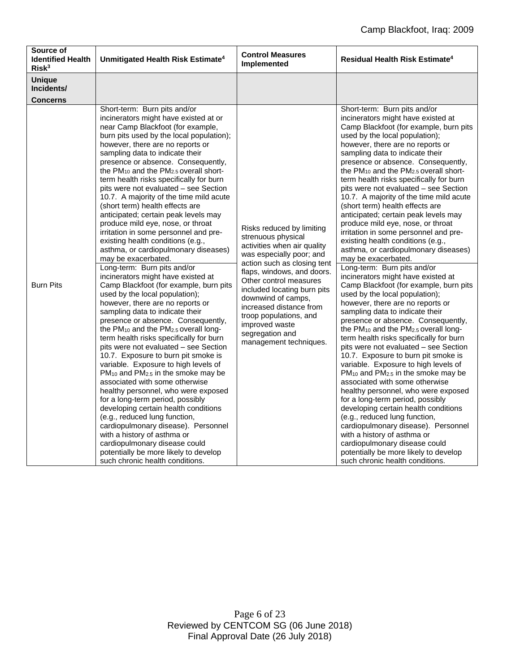| Source of<br><b>Identified Health</b><br>Risk <sup>3</sup> | Unmitigated Health Risk Estimate <sup>4</sup>                                                                                                                                                                                                                                                                                                                                                                                                                                                                                                                                                                                                                                                                                                                                                                                                                                                                                                                                                                                                                                                                                                                                                                                                                                                                                                                                                                                                                                                                                                                                                                                                | <b>Control Measures</b><br>Implemented                                                                                                                                                                                                                                                                                                                                     | <b>Residual Health Risk Estimate<sup>4</sup></b>                                                                                                                                                                                                                                                                                                                                                                                                                                                                                                                                                                                                                                                                                                                                                                                                                                                                                                                                                                                                                                                                                                                                                                                                                                                                                                                                                                                                                                                                                                                                                                                     |
|------------------------------------------------------------|----------------------------------------------------------------------------------------------------------------------------------------------------------------------------------------------------------------------------------------------------------------------------------------------------------------------------------------------------------------------------------------------------------------------------------------------------------------------------------------------------------------------------------------------------------------------------------------------------------------------------------------------------------------------------------------------------------------------------------------------------------------------------------------------------------------------------------------------------------------------------------------------------------------------------------------------------------------------------------------------------------------------------------------------------------------------------------------------------------------------------------------------------------------------------------------------------------------------------------------------------------------------------------------------------------------------------------------------------------------------------------------------------------------------------------------------------------------------------------------------------------------------------------------------------------------------------------------------------------------------------------------------|----------------------------------------------------------------------------------------------------------------------------------------------------------------------------------------------------------------------------------------------------------------------------------------------------------------------------------------------------------------------------|--------------------------------------------------------------------------------------------------------------------------------------------------------------------------------------------------------------------------------------------------------------------------------------------------------------------------------------------------------------------------------------------------------------------------------------------------------------------------------------------------------------------------------------------------------------------------------------------------------------------------------------------------------------------------------------------------------------------------------------------------------------------------------------------------------------------------------------------------------------------------------------------------------------------------------------------------------------------------------------------------------------------------------------------------------------------------------------------------------------------------------------------------------------------------------------------------------------------------------------------------------------------------------------------------------------------------------------------------------------------------------------------------------------------------------------------------------------------------------------------------------------------------------------------------------------------------------------------------------------------------------------|
| <b>Unique</b><br>Incidents/<br><b>Concerns</b>             |                                                                                                                                                                                                                                                                                                                                                                                                                                                                                                                                                                                                                                                                                                                                                                                                                                                                                                                                                                                                                                                                                                                                                                                                                                                                                                                                                                                                                                                                                                                                                                                                                                              |                                                                                                                                                                                                                                                                                                                                                                            |                                                                                                                                                                                                                                                                                                                                                                                                                                                                                                                                                                                                                                                                                                                                                                                                                                                                                                                                                                                                                                                                                                                                                                                                                                                                                                                                                                                                                                                                                                                                                                                                                                      |
| <b>Burn Pits</b>                                           | Short-term: Burn pits and/or<br>incinerators might have existed at or<br>near Camp Blackfoot (for example,<br>burn pits used by the local population);<br>however, there are no reports or<br>sampling data to indicate their<br>presence or absence. Consequently,<br>the $PM_{10}$ and the $PM_{2.5}$ overall short-<br>term health risks specifically for burn<br>pits were not evaluated – see Section<br>10.7. A majority of the time mild acute<br>(short term) health effects are<br>anticipated; certain peak levels may<br>produce mild eye, nose, or throat<br>irritation in some personnel and pre-<br>existing health conditions (e.g.,<br>asthma, or cardiopulmonary diseases)<br>may be exacerbated.<br>Long-term: Burn pits and/or<br>incinerators might have existed at<br>Camp Blackfoot (for example, burn pits<br>used by the local population);<br>however, there are no reports or<br>sampling data to indicate their<br>presence or absence. Consequently,<br>the PM <sub>10</sub> and the PM <sub>2.5</sub> overall long-<br>term health risks specifically for burn<br>pits were not evaluated - see Section<br>10.7. Exposure to burn pit smoke is<br>variable. Exposure to high levels of<br>$PM_{10}$ and $PM_{2.5}$ in the smoke may be<br>associated with some otherwise<br>healthy personnel, who were exposed<br>for a long-term period, possibly<br>developing certain health conditions<br>(e.g., reduced lung function,<br>cardiopulmonary disease). Personnel<br>with a history of asthma or<br>cardiopulmonary disease could<br>potentially be more likely to develop<br>such chronic health conditions. | Risks reduced by limiting<br>strenuous physical<br>activities when air quality<br>was especially poor; and<br>action such as closing tent<br>flaps, windows, and doors.<br>Other control measures<br>included locating burn pits<br>downwind of camps,<br>increased distance from<br>troop populations, and<br>improved waste<br>segregation and<br>management techniques. | Short-term: Burn pits and/or<br>incinerators might have existed at<br>Camp Blackfoot (for example, burn pits<br>used by the local population);<br>however, there are no reports or<br>sampling data to indicate their<br>presence or absence. Consequently,<br>the $PM_{10}$ and the $PM_{2.5}$ overall short-<br>term health risks specifically for burn<br>pits were not evaluated – see Section<br>10.7. A majority of the time mild acute<br>(short term) health effects are<br>anticipated; certain peak levels may<br>produce mild eye, nose, or throat<br>irritation in some personnel and pre-<br>existing health conditions (e.g.,<br>asthma, or cardiopulmonary diseases)<br>may be exacerbated.<br>Long-term: Burn pits and/or<br>incinerators might have existed at<br>Camp Blackfoot (for example, burn pits<br>used by the local population);<br>however, there are no reports or<br>sampling data to indicate their<br>presence or absence. Consequently,<br>the PM <sub>10</sub> and the PM <sub>2.5</sub> overall long-<br>term health risks specifically for burn<br>pits were not evaluated - see Section<br>10.7. Exposure to burn pit smoke is<br>variable. Exposure to high levels of<br>$PM_{10}$ and $PM_{2.5}$ in the smoke may be<br>associated with some otherwise<br>healthy personnel, who were exposed<br>for a long-term period, possibly<br>developing certain health conditions<br>(e.g., reduced lung function,<br>cardiopulmonary disease). Personnel<br>with a history of asthma or<br>cardiopulmonary disease could<br>potentially be more likely to develop<br>such chronic health conditions. |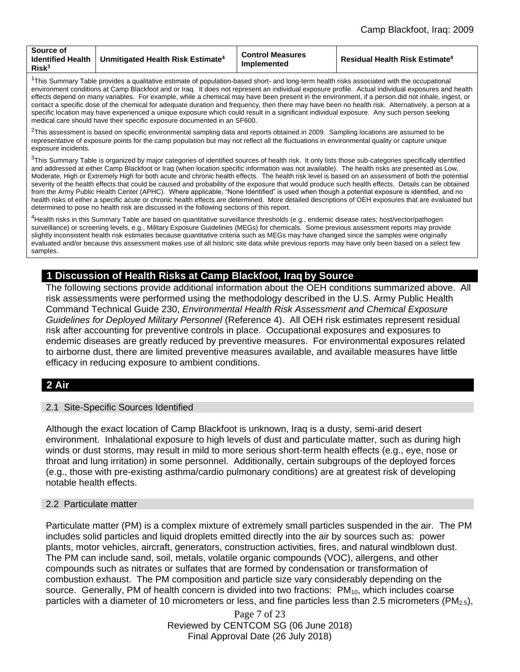| Source of<br>Identified Health<br>Risk <sup>3</sup> | <b>Unmitigated Health Risk Estimate</b> <sup>4</sup> | <b>Control Measures</b><br>Implemented | <b>Residual Health Risk Estimate<sup>4</sup></b> |
|-----------------------------------------------------|------------------------------------------------------|----------------------------------------|--------------------------------------------------|
|-----------------------------------------------------|------------------------------------------------------|----------------------------------------|--------------------------------------------------|

<sup>1</sup>This Summary Table provides a qualitative estimate of population-based short- and long-term health risks associated with the occupational environment conditions at Camp Blackfoot and or Iraq. It does not represent an individual exposure profile. Actual individual exposures and health effects depend on many variables. For example, while a chemical may have been present in the environment, if a person did not inhale, ingest, or contact a specific dose of the chemical for adequate duration and frequency, then there may have been no health risk. Alternatively, a person at a specific location may have experienced a unique exposure which could result in a significant individual exposure. Any such person seeking medical care should have their specific exposure documented in an SF600.

 ${}^{2}$ This assessment is based on specific environmental sampling data and reports obtained in 2009. Sampling locations are assumed to be representative of exposure points for the camp population but may not reflect all the fluctuations in environmental quality or capture unique exposure incidents.

<sup>3</sup>This Summary Table is organized by major categories of identified sources of health risk. It only lists those sub-categories specifically identified and addressed at either Camp Blackfoot or Iraq (when location specific information was not available). The health risks are presented as Low, Moderate, High or Extremely High for both acute and chronic health effects. The health risk level is based on an assessment of both the potential severity of the health effects that could be caused and probability of the exposure that would produce such health effects. Details can be obtained from the Army Public Health Center (APHC). Where applicable, "None Identified" is used when though a potential exposure is identified, and no health risks of either a specific acute or chronic health effects are determined. More detailed descriptions of OEH exposures that are evaluated but determined to pose no health risk are discussed in the following sections of this report.

<sup>4</sup>Health risks in this Summary Table are based on quantitative surveillance thresholds (e.g., endemic disease rates; host/vector/pathogen surveillance) or screening levels, e.g., Military Exposure Guidelines (MEGs) for chemicals*.* Some previous assessment reports may provide slightly inconsistent health risk estimates because quantitative criteria such as MEGs may have changed since the samples were originally evaluated and/or because this assessment makes use of all historic site data while previous reports may have only been based on a select few samples.

# **1 Discussion of Health Risks at Camp Blackfoot, Iraq by Source**

The following sections provide additional information about the OEH conditions summarized above. All risk assessments were performed using the methodology described in the U.S. Army Public Health Command Technical Guide 230, *Environmental Health Risk Assessment and Chemical Exposure Guidelines for Deployed Military Personnel* (Reference 4). All OEH risk estimates represent residual risk after accounting for preventive controls in place. Occupational exposures and exposures to endemic diseases are greatly reduced by preventive measures. For environmental exposures related to airborne dust, there are limited preventive measures available, and available measures have little efficacy in reducing exposure to ambient conditions.

# **2 Air**

#### 2.1 Site-Specific Sources Identified

Although the exact location of Camp Blackfoot is unknown, Iraq is a dusty, semi-arid desert environment. Inhalational exposure to high levels of dust and particulate matter, such as during high winds or dust storms, may result in mild to more serious short-term health effects (e.g., eye, nose or throat and lung irritation) in some personnel. Additionally, certain subgroups of the deployed forces (e.g., those with pre-existing asthma/cardio pulmonary conditions) are at greatest risk of developing notable health effects.

#### 2.2 Particulate matter

Particulate matter (PM) is a complex mixture of extremely small particles suspended in the air. The PM includes solid particles and liquid droplets emitted directly into the air by sources such as: power plants, motor vehicles, aircraft, generators, construction activities, fires, and natural windblown dust. The PM can include sand, soil, metals, volatile organic compounds (VOC), allergens, and other compounds such as nitrates or sulfates that are formed by condensation or transformation of combustion exhaust. The PM composition and particle size vary considerably depending on the source. Generally, PM of health concern is divided into two fractions:  $PM_{10}$ , which includes coarse particles with a diameter of 10 micrometers or less, and fine particles less than 2.5 micrometers ( $PM_{2.5}$ ),

> Page 7 of 23 Reviewed by CENTCOM SG (06 June 2018) Final Approval Date (26 July 2018)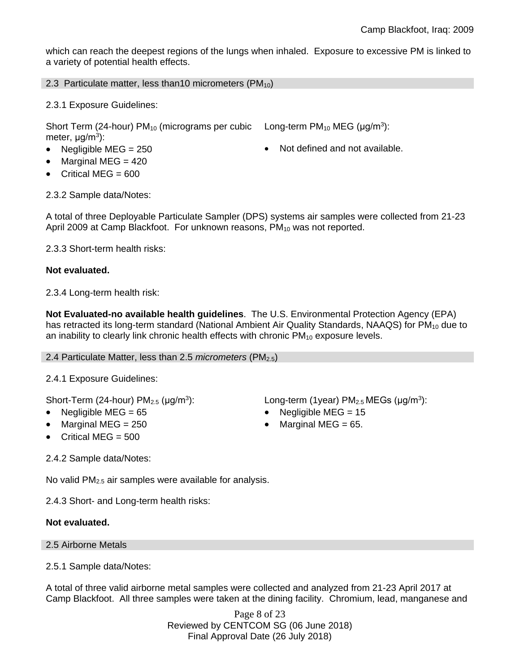which can reach the deepest regions of the lungs when inhaled. Exposure to excessive PM is linked to a variety of potential health effects.

2.3 Particulate matter, less than10 micrometers  $(PM_{10})$ 

2.3.1 Exposure Guidelines:

Short Term (24-hour)  $PM_{10}$  (micrograms per cubic meter, μg/m<sup>3</sup>):

- 
- Marginal MEG = 420
- Critical MEG = 600

Long-term  $PM_{10}$  MEG ( $\mu$ g/m<sup>3</sup>):

• Negligible MEG = 250 **COVERS** 10 **COVERS** 10 Not defined and not available.

2.3.2 Sample data/Notes:

A total of three Deployable Particulate Sampler (DPS) systems air samples were collected from 21-23 April 2009 at Camp Blackfoot. For unknown reasons, PM<sub>10</sub> was not reported.

2.3.3 Short-term health risks:

# **Not evaluated.**

2.3.4 Long-term health risk:

**Not Evaluated-no available health guidelines**. The U.S. Environmental Protection Agency (EPA) has retracted its long-term standard (National Ambient Air Quality Standards, NAAQS) for  $PM_{10}$  due to an inability to clearly link chronic health effects with chronic  $PM_{10}$  exposure levels.

2.4 Particulate Matter, less than 2.5 *micrometers* (PM2.5)

2.4.1 Exposure Guidelines:

Short-Term (24-hour)  $PM<sub>2.5</sub>$  ( $\mu$ g/m<sup>3</sup>):

- 
- 
- Critical MEG = 500

2.4.2 Sample data/Notes:

No valid  $PM<sub>2.5</sub>$  air samples were available for analysis.

2.4.3 Short- and Long-term health risks:

# **Not evaluated.**

#### 2.5 Airborne Metals

2.5.1 Sample data/Notes:

A total of three valid airborne metal samples were collected and analyzed from 21-23 April 2017 at Camp Blackfoot. All three samples were taken at the dining facility. Chromium, lead, manganese and

> Page 8 of 23 Reviewed by CENTCOM SG (06 June 2018) Final Approval Date (26 July 2018)

): Long-term (1year)  $PM_{2.5}$  MEGs ( $\mu$ g/m<sup>3</sup>):

- Negligible MEG = 65 Negligible MEG = 15
- Marginal MEG =  $250$   $\bullet$  Marginal MEG =  $65$ .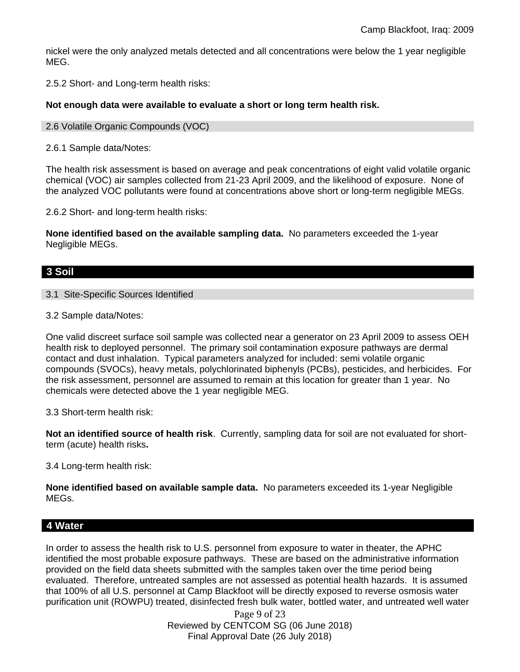nickel were the only analyzed metals detected and all concentrations were below the 1 year negligible MEG.

2.5.2 Short- and Long-term health risks:

#### **Not enough data were available to evaluate a short or long term health risk.**

- 2.6 Volatile Organic Compounds (VOC)
- 2.6.1 Sample data/Notes:

The health risk assessment is based on average and peak concentrations of eight valid volatile organic chemical (VOC) air samples collected from 21-23 April 2009, and the likelihood of exposure. None of the analyzed VOC pollutants were found at concentrations above short or long-term negligible MEGs.

2.6.2 Short- and long-term health risks:

**None identified based on the available sampling data.** No parameters exceeded the 1-year Negligible MEGs.

# **3 Soil**

3.1 Site-Specific Sources Identified

3.2 Sample data/Notes:

One valid discreet surface soil sample was collected near a generator on 23 April 2009 to assess OEH health risk to deployed personnel. The primary soil contamination exposure pathways are dermal contact and dust inhalation. Typical parameters analyzed for included: semi volatile organic compounds (SVOCs), heavy metals, polychlorinated biphenyls (PCBs), pesticides, and herbicides. For the risk assessment, personnel are assumed to remain at this location for greater than 1 year. No chemicals were detected above the 1 year negligible MEG.

3.3 Short-term health risk:

**Not an identified source of health risk**. Currently, sampling data for soil are not evaluated for shortterm (acute) health risks**.**

3.4 Long-term health risk:

**None identified based on available sample data.** No parameters exceeded its 1-year Negligible MEGs.

# **4 Water**

In order to assess the health risk to U.S. personnel from exposure to water in theater, the APHC identified the most probable exposure pathways. These are based on the administrative information provided on the field data sheets submitted with the samples taken over the time period being evaluated. Therefore, untreated samples are not assessed as potential health hazards. It is assumed that 100% of all U.S. personnel at Camp Blackfoot will be directly exposed to reverse osmosis water purification unit (ROWPU) treated, disinfected fresh bulk water, bottled water, and untreated well water

> Page 9 of 23 Reviewed by CENTCOM SG (06 June 2018) Final Approval Date (26 July 2018)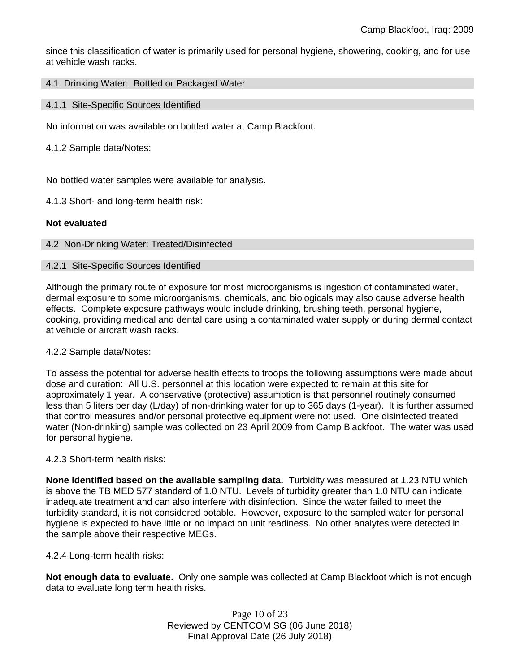since this classification of water is primarily used for personal hygiene, showering, cooking, and for use at vehicle wash racks.

### 4.1 Drinking Water: Bottled or Packaged Water

4.1.1 Site-Specific Sources Identified

No information was available on bottled water at Camp Blackfoot.

4.1.2 Sample data/Notes:

No bottled water samples were available for analysis.

4.1.3 Short- and long-term health risk:

# **Not evaluated**

# 4.2 Non-Drinking Water: Treated/Disinfected

#### 4.2.1 Site-Specific Sources Identified

Although the primary route of exposure for most microorganisms is ingestion of contaminated water, dermal exposure to some microorganisms, chemicals, and biologicals may also cause adverse health effects. Complete exposure pathways would include drinking, brushing teeth, personal hygiene, cooking, providing medical and dental care using a contaminated water supply or during dermal contact at vehicle or aircraft wash racks.

#### 4.2.2 Sample data/Notes:

To assess the potential for adverse health effects to troops the following assumptions were made about dose and duration: All U.S. personnel at this location were expected to remain at this site for approximately 1 year. A conservative (protective) assumption is that personnel routinely consumed less than 5 liters per day (L/day) of non-drinking water for up to 365 days (1-year). It is further assumed that control measures and/or personal protective equipment were not used. One disinfected treated water (Non-drinking) sample was collected on 23 April 2009 from Camp Blackfoot. The water was used for personal hygiene.

#### 4.2.3 Short-term health risks:

**None identified based on the available sampling data.** Turbidity was measured at 1.23 NTU which is above the TB MED 577 standard of 1.0 NTU. Levels of turbidity greater than 1.0 NTU can indicate inadequate treatment and can also interfere with disinfection. Since the water failed to meet the turbidity standard, it is not considered potable. However, exposure to the sampled water for personal hygiene is expected to have little or no impact on unit readiness. No other analytes were detected in the sample above their respective MEGs.

#### 4.2.4 Long-term health risks:

**Not enough data to evaluate.** Only one sample was collected at Camp Blackfoot which is not enough data to evaluate long term health risks.

> Page 10 of 23 Reviewed by CENTCOM SG (06 June 2018) Final Approval Date (26 July 2018)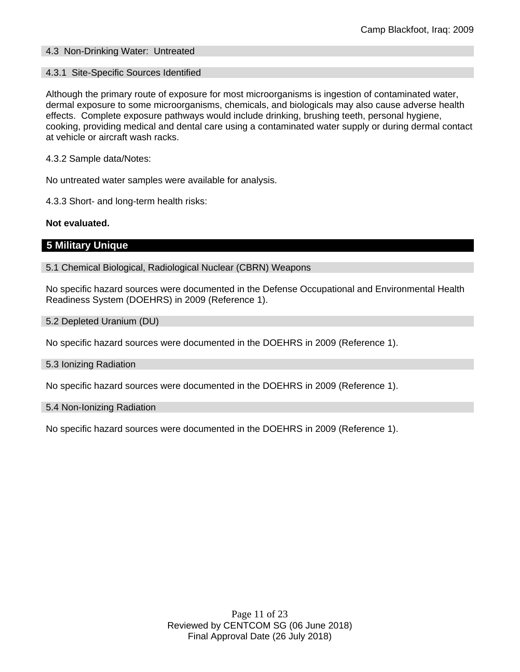# 4.3 Non-Drinking Water: Untreated

#### 4.3.1 Site-Specific Sources Identified

Although the primary route of exposure for most microorganisms is ingestion of contaminated water, dermal exposure to some microorganisms, chemicals, and biologicals may also cause adverse health effects. Complete exposure pathways would include drinking, brushing teeth, personal hygiene, cooking, providing medical and dental care using a contaminated water supply or during dermal contact at vehicle or aircraft wash racks.

4.3.2 Sample data/Notes:

No untreated water samples were available for analysis.

4.3.3 Short- and long-term health risks:

# **Not evaluated.**

# **5 Military Unique**

5.1 Chemical Biological, Radiological Nuclear (CBRN) Weapons

No specific hazard sources were documented in the Defense Occupational and Environmental Health Readiness System (DOEHRS) in 2009 (Reference 1).

5.2 Depleted Uranium (DU)

No specific hazard sources were documented in the DOEHRS in 2009 (Reference 1).

5.3 Ionizing Radiation

No specific hazard sources were documented in the DOEHRS in 2009 (Reference 1).

#### 5.4 Non-Ionizing Radiation

No specific hazard sources were documented in the DOEHRS in 2009 (Reference 1).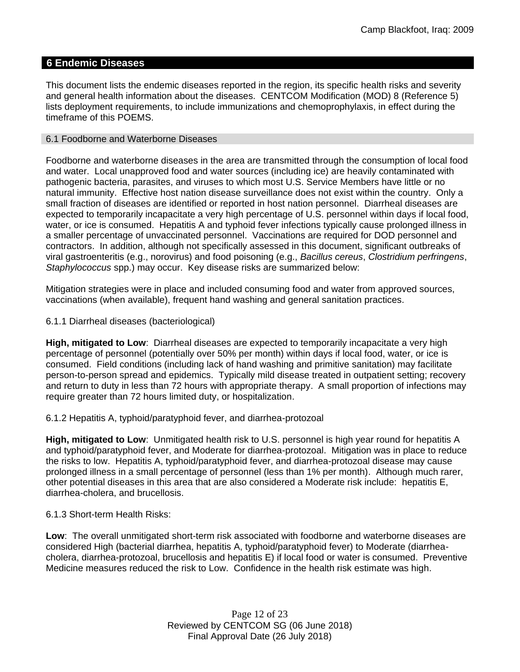# **6 Endemic Diseases**

This document lists the endemic diseases reported in the region, its specific health risks and severity and general health information about the diseases. CENTCOM Modification (MOD) 8 (Reference 5) lists deployment requirements, to include immunizations and chemoprophylaxis, in effect during the timeframe of this POEMS.

#### 6.1 Foodborne and Waterborne Diseases

Foodborne and waterborne diseases in the area are transmitted through the consumption of local food and water. Local unapproved food and water sources (including ice) are heavily contaminated with pathogenic bacteria, parasites, and viruses to which most U.S. Service Members have little or no natural immunity. Effective host nation disease surveillance does not exist within the country. Only a small fraction of diseases are identified or reported in host nation personnel. Diarrheal diseases are expected to temporarily incapacitate a very high percentage of U.S. personnel within days if local food, water, or ice is consumed. Hepatitis A and typhoid fever infections typically cause prolonged illness in a smaller percentage of unvaccinated personnel. Vaccinations are required for DOD personnel and contractors. In addition, although not specifically assessed in this document, significant outbreaks of viral gastroenteritis (e.g., norovirus) and food poisoning (e.g., *Bacillus cereus*, *Clostridium perfringens*, *Staphylococcus* spp.) may occur. Key disease risks are summarized below:

Mitigation strategies were in place and included consuming food and water from approved sources, vaccinations (when available), frequent hand washing and general sanitation practices.

6.1.1 Diarrheal diseases (bacteriological)

**High, mitigated to Low**: Diarrheal diseases are expected to temporarily incapacitate a very high percentage of personnel (potentially over 50% per month) within days if local food, water, or ice is consumed. Field conditions (including lack of hand washing and primitive sanitation) may facilitate person-to-person spread and epidemics. Typically mild disease treated in outpatient setting; recovery and return to duty in less than 72 hours with appropriate therapy. A small proportion of infections may require greater than 72 hours limited duty, or hospitalization.

6.1.2 Hepatitis A, typhoid/paratyphoid fever, and diarrhea-protozoal

**High, mitigated to Low**: Unmitigated health risk to U.S. personnel is high year round for hepatitis A and typhoid/paratyphoid fever, and Moderate for diarrhea-protozoal. Mitigation was in place to reduce the risks to low. Hepatitis A, typhoid/paratyphoid fever, and diarrhea-protozoal disease may cause prolonged illness in a small percentage of personnel (less than 1% per month). Although much rarer, other potential diseases in this area that are also considered a Moderate risk include: hepatitis E, diarrhea-cholera, and brucellosis.

#### 6.1.3 Short-term Health Risks:

**Low**: The overall unmitigated short-term risk associated with foodborne and waterborne diseases are considered High (bacterial diarrhea, hepatitis A, typhoid/paratyphoid fever) to Moderate (diarrheacholera, diarrhea-protozoal, brucellosis and hepatitis E) if local food or water is consumed. Preventive Medicine measures reduced the risk to Low. Confidence in the health risk estimate was high.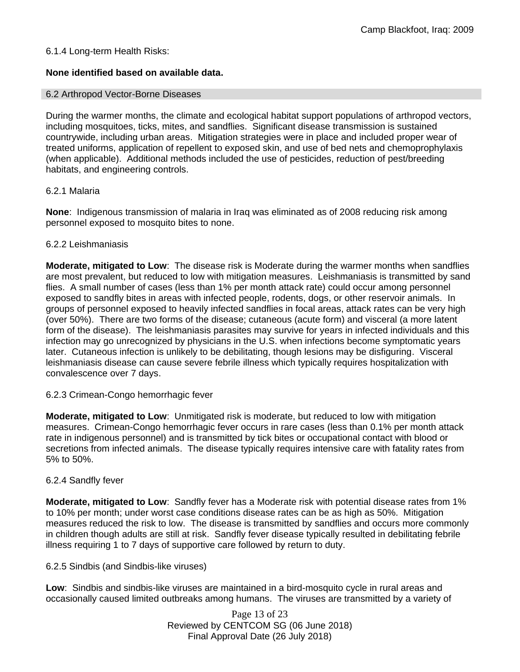# 6.1.4 Long-term Health Risks:

# **None identified based on available data.**

#### 6.2 Arthropod Vector-Borne Diseases

During the warmer months, the climate and ecological habitat support populations of arthropod vectors, including mosquitoes, ticks, mites, and sandflies. Significant disease transmission is sustained countrywide, including urban areas. Mitigation strategies were in place and included proper wear of treated uniforms, application of repellent to exposed skin, and use of bed nets and chemoprophylaxis (when applicable). Additional methods included the use of pesticides, reduction of pest/breeding habitats, and engineering controls.

#### 6.2.1 Malaria

**None**: Indigenous transmission of malaria in Iraq was eliminated as of 2008 reducing risk among personnel exposed to mosquito bites to none.

#### 6.2.2 Leishmaniasis

**Moderate, mitigated to Low**: The disease risk is Moderate during the warmer months when sandflies are most prevalent, but reduced to low with mitigation measures. Leishmaniasis is transmitted by sand flies. A small number of cases (less than 1% per month attack rate) could occur among personnel exposed to sandfly bites in areas with infected people, rodents, dogs, or other reservoir animals. In groups of personnel exposed to heavily infected sandflies in focal areas, attack rates can be very high (over 50%). There are two forms of the disease; cutaneous (acute form) and visceral (a more latent form of the disease). The leishmaniasis parasites may survive for years in infected individuals and this infection may go unrecognized by physicians in the U.S. when infections become symptomatic years later. Cutaneous infection is unlikely to be debilitating, though lesions may be disfiguring. Visceral leishmaniasis disease can cause severe febrile illness which typically requires hospitalization with convalescence over 7 days.

#### 6.2.3 Crimean-Congo hemorrhagic fever

**Moderate, mitigated to Low**: Unmitigated risk is moderate, but reduced to low with mitigation measures. Crimean-Congo hemorrhagic fever occurs in rare cases (less than 0.1% per month attack rate in indigenous personnel) and is transmitted by tick bites or occupational contact with blood or secretions from infected animals. The disease typically requires intensive care with fatality rates from 5% to 50%.

#### 6.2.4 Sandfly fever

**Moderate, mitigated to Low**: Sandfly fever has a Moderate risk with potential disease rates from 1% to 10% per month; under worst case conditions disease rates can be as high as 50%. Mitigation measures reduced the risk to low. The disease is transmitted by sandflies and occurs more commonly in children though adults are still at risk. Sandfly fever disease typically resulted in debilitating febrile illness requiring 1 to 7 days of supportive care followed by return to duty.

6.2.5 Sindbis (and Sindbis-like viruses)

**Low**: Sindbis and sindbis-like viruses are maintained in a bird-mosquito cycle in rural areas and occasionally caused limited outbreaks among humans. The viruses are transmitted by a variety of

> Page 13 of 23 Reviewed by CENTCOM SG (06 June 2018) Final Approval Date (26 July 2018)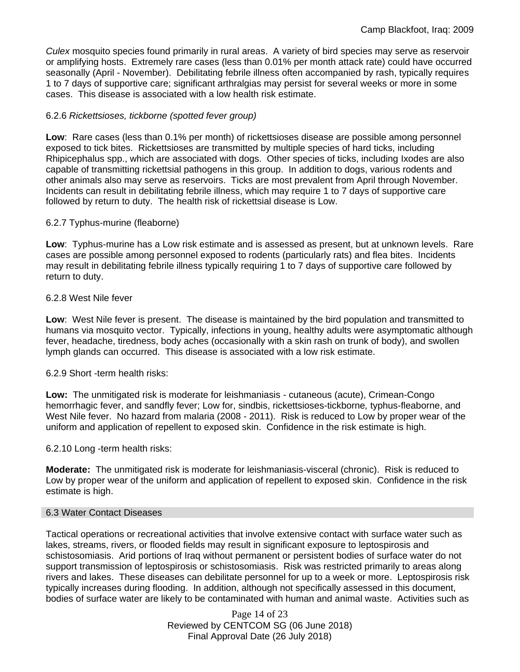*Culex* mosquito species found primarily in rural areas. A variety of bird species may serve as reservoir or amplifying hosts. Extremely rare cases (less than 0.01% per month attack rate) could have occurred seasonally (April - November). Debilitating febrile illness often accompanied by rash, typically requires 1 to 7 days of supportive care; significant arthralgias may persist for several weeks or more in some cases. This disease is associated with a low health risk estimate.

# 6.2.6 *Rickettsioses, tickborne (spotted fever group)*

**Low**: Rare cases (less than 0.1% per month) of rickettsioses disease are possible among personnel exposed to tick bites. Rickettsioses are transmitted by multiple species of hard ticks, including Rhipicephalus spp., which are associated with dogs. Other species of ticks, including Ixodes are also capable of transmitting rickettsial pathogens in this group. In addition to dogs, various rodents and other animals also may serve as reservoirs. Ticks are most prevalent from April through November. Incidents can result in debilitating febrile illness, which may require 1 to 7 days of supportive care followed by return to duty. The health risk of rickettsial disease is Low.

#### 6.2.7 Typhus-murine (fleaborne)

**Low**: Typhus-murine has a Low risk estimate and is assessed as present, but at unknown levels. Rare cases are possible among personnel exposed to rodents (particularly rats) and flea bites. Incidents may result in debilitating febrile illness typically requiring 1 to 7 days of supportive care followed by return to duty.

#### 6.2.8 West Nile fever

**Low**: West Nile fever is present. The disease is maintained by the bird population and transmitted to humans via mosquito vector. Typically, infections in young, healthy adults were asymptomatic although fever, headache, tiredness, body aches (occasionally with a skin rash on trunk of body), and swollen lymph glands can occurred. This disease is associated with a low risk estimate.

#### 6.2.9 Short -term health risks:

**Low:** The unmitigated risk is moderate for leishmaniasis - cutaneous (acute), Crimean-Congo hemorrhagic fever, and sandfly fever; Low for, sindbis, rickettsioses-tickborne*,* typhus-fleaborne, and West Nile fever. No hazard from malaria (2008 - 2011). Risk is reduced to Low by proper wear of the uniform and application of repellent to exposed skin. Confidence in the risk estimate is high.

#### 6.2.10 Long -term health risks:

**Moderate:** The unmitigated risk is moderate for leishmaniasis-visceral (chronic). Risk is reduced to Low by proper wear of the uniform and application of repellent to exposed skin. Confidence in the risk estimate is high.

#### 6.3 Water Contact Diseases

Tactical operations or recreational activities that involve extensive contact with surface water such as lakes, streams, rivers, or flooded fields may result in significant exposure to leptospirosis and schistosomiasis. Arid portions of Iraq without permanent or persistent bodies of surface water do not support transmission of leptospirosis or schistosomiasis. Risk was restricted primarily to areas along rivers and lakes. These diseases can debilitate personnel for up to a week or more. Leptospirosis risk typically increases during flooding. In addition, although not specifically assessed in this document, bodies of surface water are likely to be contaminated with human and animal waste. Activities such as

> Page 14 of 23 Reviewed by CENTCOM SG (06 June 2018) Final Approval Date (26 July 2018)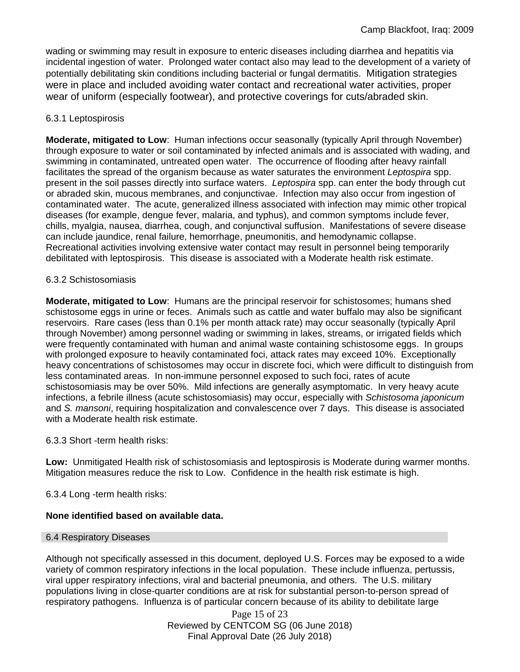wading or swimming may result in exposure to enteric diseases including diarrhea and hepatitis via incidental ingestion of water. Prolonged water contact also may lead to the development of a variety of potentially debilitating skin conditions including bacterial or fungal dermatitis. Mitigation strategies were in place and included avoiding water contact and recreational water activities, proper wear of uniform (especially footwear), and protective coverings for cuts/abraded skin.

# 6.3.1 Leptospirosis

**Moderate, mitigated to Low**: Human infections occur seasonally (typically April through November) through exposure to water or soil contaminated by infected animals and is associated with wading, and swimming in contaminated, untreated open water. The occurrence of flooding after heavy rainfall facilitates the spread of the organism because as water saturates the environment *Leptospira* spp. present in the soil passes directly into surface waters. *Leptospira* spp. can enter the body through cut or abraded skin, mucous membranes, and conjunctivae. Infection may also occur from ingestion of contaminated water. The acute, generalized illness associated with infection may mimic other tropical diseases (for example, dengue fever, malaria, and typhus), and common symptoms include fever, chills, myalgia, nausea, diarrhea, cough, and conjunctival suffusion. Manifestations of severe disease can include jaundice, renal failure, hemorrhage, pneumonitis, and hemodynamic collapse. Recreational activities involving extensive water contact may result in personnel being temporarily debilitated with leptospirosis. This disease is associated with a Moderate health risk estimate.

# 6.3.2 Schistosomiasis

**Moderate, mitigated to Low**: Humans are the principal reservoir for schistosomes; humans shed schistosome eggs in urine or feces. Animals such as cattle and water buffalo may also be significant reservoirs. Rare cases (less than 0.1% per month attack rate) may occur seasonally (typically April through November) among personnel wading or swimming in lakes, streams, or irrigated fields which were frequently contaminated with human and animal waste containing schistosome eggs. In groups with prolonged exposure to heavily contaminated foci, attack rates may exceed 10%. Exceptionally heavy concentrations of schistosomes may occur in discrete foci, which were difficult to distinguish from less contaminated areas. In non-immune personnel exposed to such foci, rates of acute schistosomiasis may be over 50%. Mild infections are generally asymptomatic. In very heavy acute infections, a febrile illness (acute schistosomiasis) may occur, especially with *Schistosoma japonicum*  and *S. mansoni*, requiring hospitalization and convalescence over 7 days. This disease is associated with a Moderate health risk estimate.

#### 6.3.3 Short -term health risks:

**Low:** Unmitigated Health risk of schistosomiasis and leptospirosis is Moderate during warmer months. Mitigation measures reduce the risk to Low. Confidence in the health risk estimate is high.

6.3.4 Long -term health risks:

# **None identified based on available data.**

#### 6.4 Respiratory Diseases

Although not specifically assessed in this document, deployed U.S. Forces may be exposed to a wide variety of common respiratory infections in the local population. These include influenza, pertussis, viral upper respiratory infections, viral and bacterial pneumonia, and others. The U.S. military populations living in close-quarter conditions are at risk for substantial person-to-person spread of respiratory pathogens. Influenza is of particular concern because of its ability to debilitate large

> Page 15 of 23 Reviewed by CENTCOM SG (06 June 2018) Final Approval Date (26 July 2018)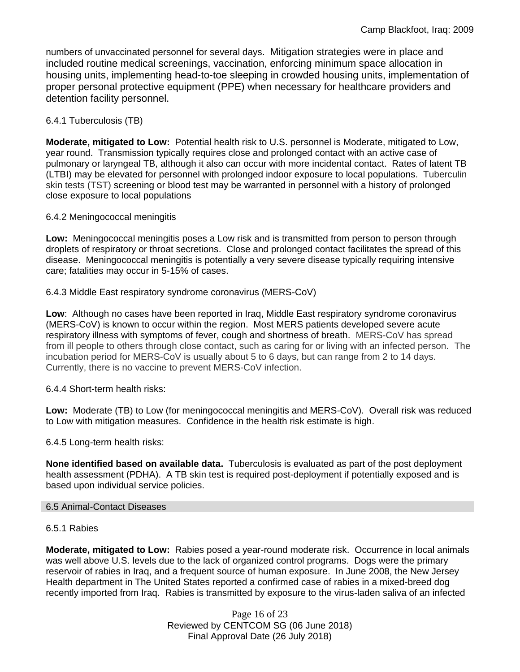numbers of unvaccinated personnel for several days. Mitigation strategies were in place and included routine medical screenings, vaccination, enforcing minimum space allocation in housing units, implementing head-to-toe sleeping in crowded housing units, implementation of proper personal protective equipment (PPE) when necessary for healthcare providers and detention facility personnel.

# 6.4.1 Tuberculosis (TB)

**Moderate, mitigated to Low:** Potential health risk to U.S. personnel is Moderate, mitigated to Low, year round. Transmission typically requires close and prolonged contact with an active case of pulmonary or laryngeal TB, although it also can occur with more incidental contact. Rates of latent TB (LTBI) may be elevated for personnel with prolonged indoor exposure to local populations. Tuberculin skin tests (TST) screening or blood test may be warranted in personnel with a history of prolonged close exposure to local populations

# 6.4.2 Meningococcal meningitis

**Low:** Meningococcal meningitis poses a Low risk and is transmitted from person to person through droplets of respiratory or throat secretions. Close and prolonged contact facilitates the spread of this disease. Meningococcal meningitis is potentially a very severe disease typically requiring intensive care; fatalities may occur in 5-15% of cases.

# 6.4.3 Middle East respiratory syndrome coronavirus (MERS-CoV)

**Low**: Although no cases have been reported in Iraq, Middle East respiratory syndrome coronavirus (MERS-CoV) is known to occur within the region. Most MERS patients developed severe acute respiratory illness with symptoms of fever, cough and shortness of breath. MERS-CoV has spread from ill people to others through close contact, such as caring for or living with an infected person. The incubation period for MERS-CoV is usually about 5 to 6 days, but can range from 2 to 14 days. Currently, there is no vaccine to prevent MERS-CoV infection.

# 6.4.4 Short-term health risks:

**Low:** Moderate (TB) to Low (for meningococcal meningitis and MERS-CoV). Overall risk was reduced to Low with mitigation measures. Confidence in the health risk estimate is high.

6.4.5 Long-term health risks:

**None identified based on available data.** Tuberculosis is evaluated as part of the post deployment health assessment (PDHA). A TB skin test is required post-deployment if potentially exposed and is based upon individual service policies.

#### 6.5 Animal-Contact Diseases

#### 6.5.1 Rabies

**Moderate, mitigated to Low:** Rabies posed a year-round moderate risk. Occurrence in local animals was well above U.S. levels due to the lack of organized control programs. Dogs were the primary reservoir of rabies in Iraq, and a frequent source of human exposure. In June 2008, the New Jersey Health department in The United States reported a confirmed case of rabies in a mixed-breed dog recently imported from Iraq. Rabies is transmitted by exposure to the virus-laden saliva of an infected

> Page 16 of 23 Reviewed by CENTCOM SG (06 June 2018) Final Approval Date (26 July 2018)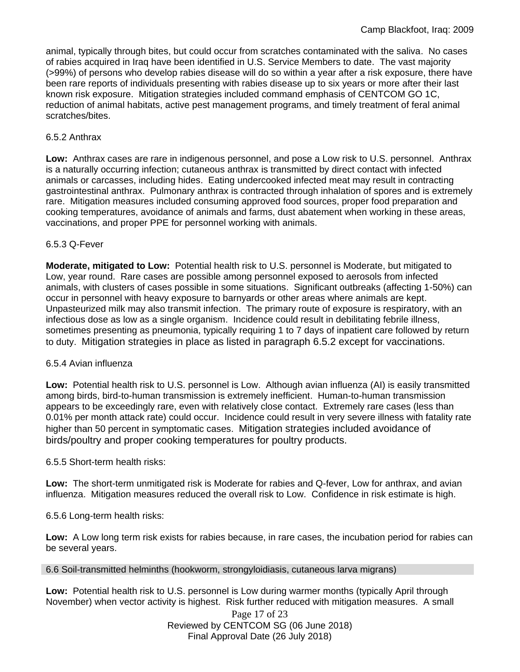animal, typically through bites, but could occur from scratches contaminated with the saliva. No cases of rabies acquired in Iraq have been identified in U.S. Service Members to date. The vast majority (>99%) of persons who develop rabies disease will do so within a year after a risk exposure, there have been rare reports of individuals presenting with rabies disease up to six years or more after their last known risk exposure. Mitigation strategies included command emphasis of CENTCOM GO 1C, reduction of animal habitats, active pest management programs, and timely treatment of feral animal scratches/bites.

# 6.5.2 Anthrax

**Low:** Anthrax cases are rare in indigenous personnel, and pose a Low risk to U.S. personnel. Anthrax is a naturally occurring infection; cutaneous anthrax is transmitted by direct contact with infected animals or carcasses, including hides. Eating undercooked infected meat may result in contracting gastrointestinal anthrax. Pulmonary anthrax is contracted through inhalation of spores and is extremely rare. Mitigation measures included consuming approved food sources, proper food preparation and cooking temperatures, avoidance of animals and farms, dust abatement when working in these areas, vaccinations, and proper PPE for personnel working with animals.

# 6.5.3 Q-Fever

**Moderate, mitigated to Low:** Potential health risk to U.S. personnel is Moderate, but mitigated to Low, year round. Rare cases are possible among personnel exposed to aerosols from infected animals, with clusters of cases possible in some situations. Significant outbreaks (affecting 1-50%) can occur in personnel with heavy exposure to barnyards or other areas where animals are kept. Unpasteurized milk may also transmit infection. The primary route of exposure is respiratory, with an infectious dose as low as a single organism. Incidence could result in debilitating febrile illness, sometimes presenting as pneumonia, typically requiring 1 to 7 days of inpatient care followed by return to duty. Mitigation strategies in place as listed in paragraph 6.5.2 except for vaccinations.

#### 6.5.4 Avian influenza

**Low:** Potential health risk to U.S. personnel is Low. Although avian influenza (AI) is easily transmitted among birds, bird-to-human transmission is extremely inefficient. Human-to-human transmission appears to be exceedingly rare, even with relatively close contact. Extremely rare cases (less than 0.01% per month attack rate) could occur. Incidence could result in very severe illness with fatality rate higher than 50 percent in symptomatic cases. Mitigation strategies included avoidance of birds/poultry and proper cooking temperatures for poultry products.

#### 6.5.5 Short-term health risks:

**Low:** The short-term unmitigated risk is Moderate for rabies and Q-fever, Low for anthrax, and avian influenza. Mitigation measures reduced the overall risk to Low. Confidence in risk estimate is high.

6.5.6 Long-term health risks:

**Low:** A Low long term risk exists for rabies because, in rare cases, the incubation period for rabies can be several years.

#### 6.6 Soil-transmitted helminths (hookworm, strongyloidiasis, cutaneous larva migrans)

**Low:** Potential health risk to U.S. personnel is Low during warmer months (typically April through November) when vector activity is highest. Risk further reduced with mitigation measures. A small

> Page 17 of 23 Reviewed by CENTCOM SG (06 June 2018) Final Approval Date (26 July 2018)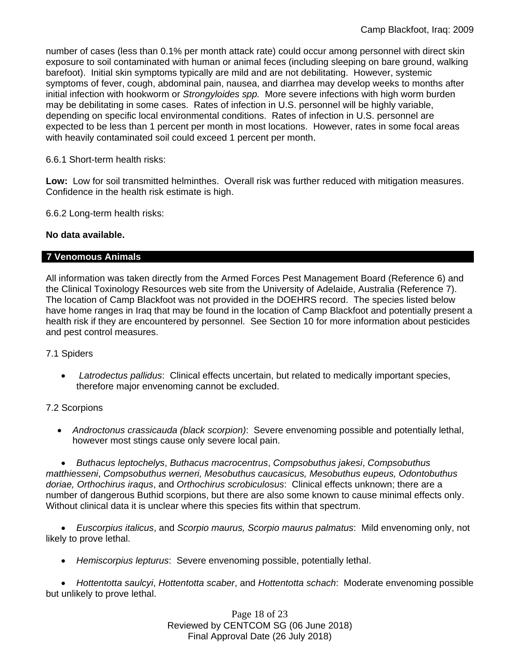number of cases (less than 0.1% per month attack rate) could occur among personnel with direct skin exposure to soil contaminated with human or animal feces (including sleeping on bare ground, walking barefoot). Initial skin symptoms typically are mild and are not debilitating. However, systemic symptoms of fever, cough, abdominal pain, nausea, and diarrhea may develop weeks to months after initial infection with hookworm or *Strongyloides spp.* More severe infections with high worm burden may be debilitating in some cases. Rates of infection in U.S. personnel will be highly variable, depending on specific local environmental conditions. Rates of infection in U.S. personnel are expected to be less than 1 percent per month in most locations. However, rates in some focal areas with heavily contaminated soil could exceed 1 percent per month.

# 6.6.1 Short-term health risks:

**Low:** Low for soil transmitted helminthes. Overall risk was further reduced with mitigation measures. Confidence in the health risk estimate is high.

6.6.2 Long-term health risks:

# **No data available.**

# **7 Venomous Animals**

All information was taken directly from the Armed Forces Pest Management Board (Reference 6) and the Clinical Toxinology Resources web site from the University of Adelaide, Australia (Reference 7). The location of Camp Blackfoot was not provided in the DOEHRS record. The species listed below have home ranges in Iraq that may be found in the location of Camp Blackfoot and potentially present a health risk if they are encountered by personnel. See Section 10 for more information about pesticides and pest control measures.

#### 7.1 Spiders

 *Latrodectus pallidus*: Clinical effects uncertain, but related to medically important species, therefore major envenoming cannot be excluded.

# 7.2 Scorpions

 *Androctonus crassicauda (black scorpion)*:Severe envenoming possible and potentially lethal, however most stings cause only severe local pain.

 *Buthacus leptochelys*, *Buthacus macrocentrus*, *Compsobuthus jakesi*, *Compsobuthus matthiesseni*, *Compsobuthus werneri, Mesobuthus caucasicus, Mesobuthus eupeus, Odontobuthus doriae, Orthochirus iraqus*, and *Orthochirus scrobiculosus*: Clinical effects unknown; there are a number of dangerous Buthid scorpions, but there are also some known to cause minimal effects only. Without clinical data it is unclear where this species fits within that spectrum.

 *Euscorpius italicus*, and *Scorpio maurus, Scorpio maurus palmatus*: Mild envenoming only, not likely to prove lethal.

*Hemiscorpius lepturus*: Severe envenoming possible, potentially lethal.

 *Hottentotta saulcyi*, *Hottentotta scaber*, and *Hottentotta schach*: Moderate envenoming possible but unlikely to prove lethal.

> Page 18 of 23 Reviewed by CENTCOM SG (06 June 2018) Final Approval Date (26 July 2018)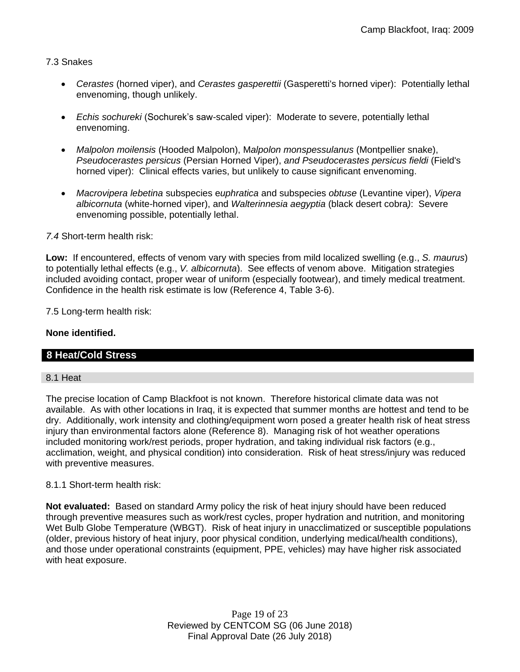# 7.3 Snakes

- *Cerastes* (horned viper), and *Cerastes gasperettii* (Gasperetti's horned viper): Potentially lethal envenoming, though unlikely.
- *Echis sochureki* (Sochurek's saw-scaled viper): Moderate to severe, potentially lethal envenoming.
- *Malpolon moilensis* (Hooded Malpolon), M*alpolon monspessulanus* (Montpellier snake), *Pseudocerastes persicus* (Persian Horned Viper), *and Pseudocerastes persicus fieldi* (Field's horned viper): Clinical effects varies, but unlikely to cause significant envenoming.
- *Macrovipera lebetina* subspecies e*uphratica* and subspecies *obtuse* (Levantine viper), *Vipera albicornuta* (white-horned viper), and *Walterinnesia aegyptia* (black desert cobra*)*: Severe envenoming possible, potentially lethal.

# *7.4* Short-term health risk:

**Low:** If encountered, effects of venom vary with species from mild localized swelling (e.g., *S. maurus*) to potentially lethal effects (e.g., *V. albicornuta*). See effects of venom above. Mitigation strategies included avoiding contact, proper wear of uniform (especially footwear), and timely medical treatment. Confidence in the health risk estimate is low (Reference 4, Table 3-6).

7.5 Long-term health risk:

# **None identified.**

# **8 Heat/Cold Stress**

# 8.1 Heat

The precise location of Camp Blackfoot is not known. Therefore historical climate data was not available. As with other locations in Iraq, it is expected that summer months are hottest and tend to be dry. Additionally, work intensity and clothing/equipment worn posed a greater health risk of heat stress injury than environmental factors alone (Reference 8). Managing risk of hot weather operations included monitoring work/rest periods, proper hydration, and taking individual risk factors (e.g., acclimation, weight, and physical condition) into consideration. Risk of heat stress/injury was reduced with preventive measures.

# 8.1.1 Short-term health risk:

**Not evaluated:** Based on standard Army policy the risk of heat injury should have been reduced through preventive measures such as work/rest cycles, proper hydration and nutrition, and monitoring Wet Bulb Globe Temperature (WBGT). Risk of heat injury in unacclimatized or susceptible populations (older, previous history of heat injury, poor physical condition, underlying medical/health conditions), and those under operational constraints (equipment, PPE, vehicles) may have higher risk associated with heat exposure.

> Page 19 of 23 Reviewed by CENTCOM SG (06 June 2018) Final Approval Date (26 July 2018)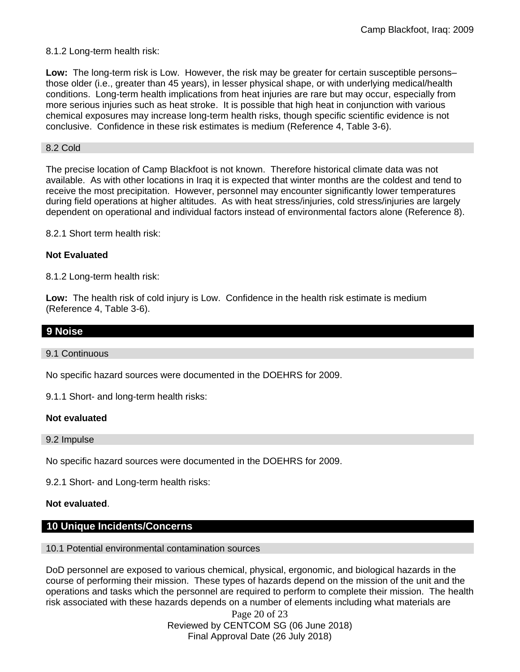8.1.2 Long-term health risk:

**Low:** The long-term risk is Low. However, the risk may be greater for certain susceptible persons– those older (i.e., greater than 45 years), in lesser physical shape, or with underlying medical/health conditions. Long-term health implications from heat injuries are rare but may occur, especially from more serious injuries such as heat stroke. It is possible that high heat in conjunction with various chemical exposures may increase long-term health risks, though specific scientific evidence is not conclusive. Confidence in these risk estimates is medium (Reference 4, Table 3-6).

#### 8.2 Cold

The precise location of Camp Blackfoot is not known. Therefore historical climate data was not available. As with other locations in Iraq it is expected that winter months are the coldest and tend to receive the most precipitation. However, personnel may encounter significantly lower temperatures during field operations at higher altitudes. As with heat stress/injuries, cold stress/injuries are largely dependent on operational and individual factors instead of environmental factors alone (Reference 8).

8.2.1 Short term health risk:

#### **Not Evaluated**

8.1.2 Long-term health risk:

**Low:** The health risk of cold injury is Low. Confidence in the health risk estimate is medium (Reference 4, Table 3-6).

# **9 Noise**

9.1 Continuous

No specific hazard sources were documented in the DOEHRS for 2009.

9.1.1 Short- and long-term health risks:

#### **Not evaluated**

9.2 Impulse

No specific hazard sources were documented in the DOEHRS for 2009.

9.2.1 Short- and Long-term health risks:

#### **Not evaluated**.

# **10 Unique Incidents/Concerns**

10.1 Potential environmental contamination sources

DoD personnel are exposed to various chemical, physical, ergonomic, and biological hazards in the course of performing their mission. These types of hazards depend on the mission of the unit and the operations and tasks which the personnel are required to perform to complete their mission. The health risk associated with these hazards depends on a number of elements including what materials are

> Page 20 of 23 Reviewed by CENTCOM SG (06 June 2018) Final Approval Date (26 July 2018)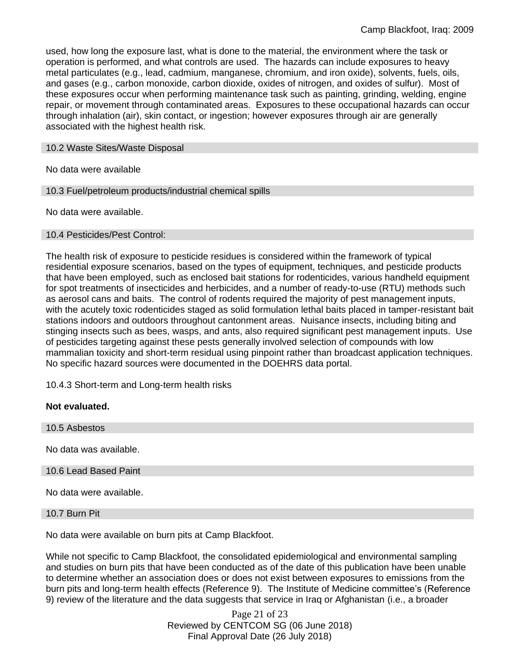used, how long the exposure last, what is done to the material, the environment where the task or operation is performed, and what controls are used. The hazards can include exposures to heavy metal particulates (e.g., lead, cadmium, manganese, chromium, and iron oxide), solvents, fuels, oils, and gases (e.g., carbon monoxide, carbon dioxide, oxides of nitrogen, and oxides of sulfur). Most of these exposures occur when performing maintenance task such as painting, grinding, welding, engine repair, or movement through contaminated areas. Exposures to these occupational hazards can occur through inhalation (air), skin contact, or ingestion; however exposures through air are generally associated with the highest health risk.

#### 10.2 Waste Sites/Waste Disposal

No data were available

10.3 Fuel/petroleum products/industrial chemical spills

No data were available.

#### 10.4 Pesticides/Pest Control:

The health risk of exposure to pesticide residues is considered within the framework of typical residential exposure scenarios, based on the types of equipment, techniques, and pesticide products that have been employed, such as enclosed bait stations for rodenticides, various handheld equipment for spot treatments of insecticides and herbicides, and a number of ready-to-use (RTU) methods such as aerosol cans and baits. The control of rodents required the majority of pest management inputs, with the acutely toxic rodenticides staged as solid formulation lethal baits placed in tamper-resistant bait stations indoors and outdoors throughout cantonment areas. Nuisance insects, including biting and stinging insects such as bees, wasps, and ants, also required significant pest management inputs. Use of pesticides targeting against these pests generally involved selection of compounds with low mammalian toxicity and short-term residual using pinpoint rather than broadcast application techniques. No specific hazard sources were documented in the DOEHRS data portal.

10.4.3 Short-term and Long-term health risks

#### **Not evaluated.**

10.5 Asbestos No data was available. 10.6 Lead Based Paint No data were available.

#### 10.7 Burn Pit

No data were available on burn pits at Camp Blackfoot.

While not specific to Camp Blackfoot, the consolidated epidemiological and environmental sampling and studies on burn pits that have been conducted as of the date of this publication have been unable to determine whether an association does or does not exist between exposures to emissions from the burn pits and long-term health effects (Reference 9). The Institute of Medicine committee's (Reference 9) review of the literature and the data suggests that service in Iraq or Afghanistan (i.e., a broader

> Page 21 of 23 Reviewed by CENTCOM SG (06 June 2018) Final Approval Date (26 July 2018)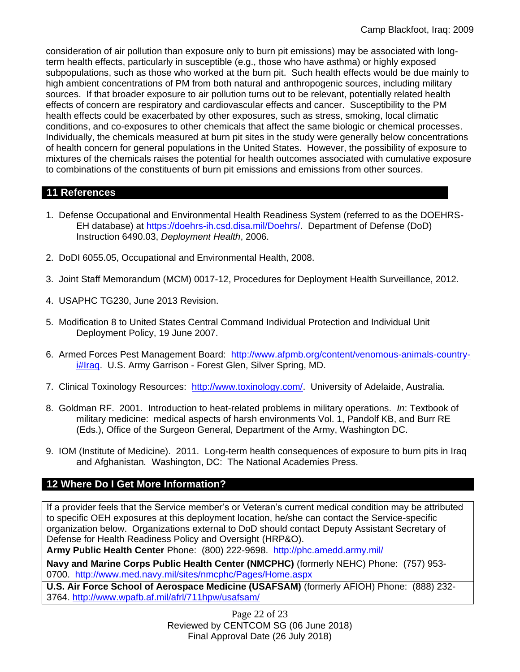consideration of air pollution than exposure only to burn pit emissions) may be associated with longterm health effects, particularly in susceptible (e.g., those who have asthma) or highly exposed subpopulations, such as those who worked at the burn pit. Such health effects would be due mainly to high ambient concentrations of PM from both natural and anthropogenic sources, including military sources. If that broader exposure to air pollution turns out to be relevant, potentially related health effects of concern are respiratory and cardiovascular effects and cancer. Susceptibility to the PM health effects could be exacerbated by other exposures, such as stress, smoking, local climatic conditions, and co-exposures to other chemicals that affect the same biologic or chemical processes. Individually, the chemicals measured at burn pit sites in the study were generally below concentrations of health concern for general populations in the United States. However, the possibility of exposure to mixtures of the chemicals raises the potential for health outcomes associated with cumulative exposure to combinations of the constituents of burn pit emissions and emissions from other sources.

# **11 References**

- 1. Defense Occupational and Environmental Health Readiness System (referred to as the DOEHRS-EH database) at https://doehrs-ih.csd.disa.mil/Doehrs/. Department of Defense (DoD) Instruction 6490.03, *Deployment Health*, 2006.
- 2. DoDI 6055.05, Occupational and Environmental Health, 2008.
- 3. Joint Staff Memorandum (MCM) 0017-12, Procedures for Deployment Health Surveillance, 2012.
- 4. USAPHC TG230, June 2013 Revision.
- 5. Modification 8 to United States Central Command Individual Protection and Individual Unit Deployment Policy, 19 June 2007.
- 6. Armed Forces Pest Management Board: [http://www.afpmb.org/content/venomous-animals-country](http://www.afpmb.org/content/venomous-animals-country-i#Iraq)[i#Iraq.](http://www.afpmb.org/content/venomous-animals-country-i#Iraq) U.S. Army Garrison - Forest Glen, Silver Spring, MD.
- 7. Clinical Toxinology Resources: [http://www.toxinology.com/.](http://www.toxinology.com/) University of Adelaide, Australia.
- 8. Goldman RF. 2001. Introduction to heat-related problems in military operations. *In*: Textbook of military medicine: medical aspects of harsh environments Vol. 1, Pandolf KB, and Burr RE (Eds.), Office of the Surgeon General, Department of the Army, Washington DC.
- 9. IOM (Institute of Medicine). 2011*.* Long-term health consequences of exposure to burn pits in Iraq and Afghanistan*.* Washington, DC: The National Academies Press.

# **12 Where Do I Get More Information?**

If a provider feels that the Service member's or Veteran's current medical condition may be attributed to specific OEH exposures at this deployment location, he/she can contact the Service-specific organization below. Organizations external to DoD should contact Deputy Assistant Secretary of Defense for Health Readiness Policy and Oversight (HRP&O).

**Army Public Health Center** Phone: (800) 222-9698. http://phc.amedd.army.mil/

**Navy and Marine Corps Public Health Center (NMCPHC)** (formerly NEHC) Phone: (757) 953- 0700. <http://www.med.navy.mil/sites/nmcphc/Pages/Home.aspx>

**U.S. Air Force School of Aerospace Medicine (USAFSAM)** (formerly AFIOH) Phone: (888) 232- 3764.<http://www.wpafb.af.mil/afrl/711hpw/usafsam/>

> Page 22 of 23 Reviewed by CENTCOM SG (06 June 2018) Final Approval Date (26 July 2018)